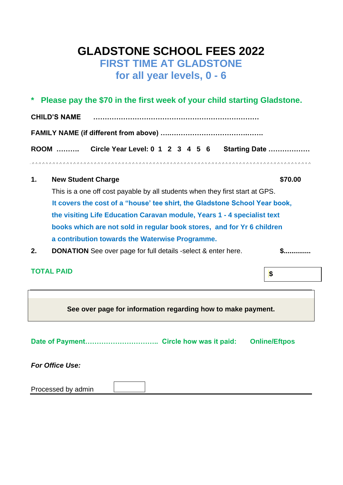# **GLADSTONE SCHOOL FEES 2022 FIRST TIME AT GLADSTONE for all year levels, 0 - 6**

|                |                                                                              | * Please pay the \$70 in the first week of your child starting Gladstone. |               |  |
|----------------|------------------------------------------------------------------------------|---------------------------------------------------------------------------|---------------|--|
|                | <b>CHILD'S NAME</b>                                                          |                                                                           |               |  |
|                |                                                                              |                                                                           |               |  |
|                | ROOM                                                                         | Circle Year Level: 0 1 2 3 4 5 6                                          | Starting Date |  |
|                |                                                                              |                                                                           |               |  |
| $\mathbf{1}$ . | <b>New Student Charge</b>                                                    |                                                                           | \$70.00       |  |
|                | This is a one off cost payable by all students when they first start at GPS. |                                                                           |               |  |
|                | It governs the sect of a liberal too objet the Cladatone Cahool Vear heal    |                                                                           |               |  |

 **It covers the cost of a "house' tee shirt, the Gladstone School Year book, the visiting Life Education Caravan module, Years 1 - 4 specialist text books which are not sold in regular book stores, and for Yr 6 children a contribution towards the Waterwise Programme.**

**2. DONATION** See over page for full details -select & enter here. **\$..............** 

**\$**

# **TOTAL PAID**

**See over page for information regarding how to make payment.**

**Date of Payment………………………….. Circle how was it paid: Online/Eftpos**

*For Office Use:*

| Processed by admin |  |  |
|--------------------|--|--|
|--------------------|--|--|